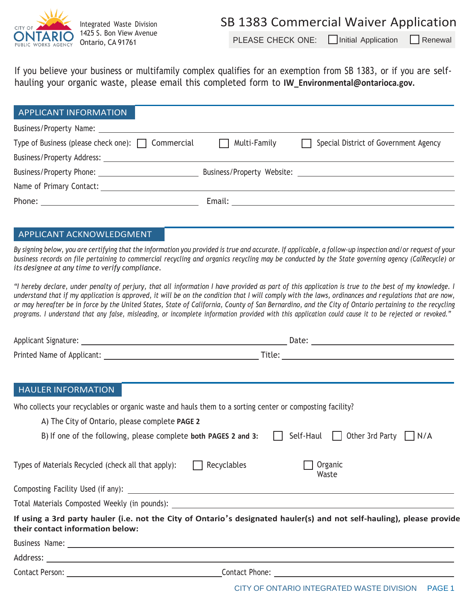

Integrated Waste Division 1425 S. Bon View Avenue Ontario, CA 91761

PLEASE CHECK ONE:  $\Box$  Initial Application  $\Box$  Renewal

If you believe your business or multifamily complex qualifies for an exemption from SB 1383, or if you are selfhauling your organic waste, please email this completed form to **[IW\\_Environmental@ontarioca.gov.](mailto:IW_Environmental@ontarioca.gov)**

| <b>APPLICANT INFORMATION</b>                           |                                                                                                                                                                                                                                |                                       |
|--------------------------------------------------------|--------------------------------------------------------------------------------------------------------------------------------------------------------------------------------------------------------------------------------|---------------------------------------|
| Business/Property Name:                                |                                                                                                                                                                                                                                |                                       |
| Type of Business (please check one): $\Box$ Commercial | Multi-Family                                                                                                                                                                                                                   | Special District of Government Agency |
| Business/Property Address:                             |                                                                                                                                                                                                                                |                                       |
|                                                        |                                                                                                                                                                                                                                |                                       |
| Name of Primary Contact:                               |                                                                                                                                                                                                                                |                                       |
|                                                        | Email: Email: All and the state of the state of the state of the state of the state of the state of the state of the state of the state of the state of the state of the state of the state of the state of the state of the s |                                       |

#### APPLICANT ACKNOWLEDGMENT

By signing below, you are certifying that the information you provided is true and accurate. If applicable, a follow-up inspection and/or request of your business records on file pertaining to commercial recycling and organics recycling may be conducted by the State governing agency (CalRecycle) or *its designee at any time to verify compliance.*

*"I hereby declare, under penalty of perjury, that all information I have provided as part of this application is true to the best of my knowledge. I understand that if my application is approved, it will be on the condition that I will comply with the laws, ordinances and regulations that are now, or may hereafter be in force by the United States, State of California, County of San Bernardino, and the City of Ontario pertaining to the recycling* programs. I understand that any false, misleading, or incomplete information provided with this application could cause it to be rejected or revoked."

|                                                            | Date: $\overline{\phantom{a}}$                                                                                         |
|------------------------------------------------------------|------------------------------------------------------------------------------------------------------------------------|
|                                                            |                                                                                                                        |
|                                                            |                                                                                                                        |
| <b>HAULER INFORMATION</b>                                  |                                                                                                                        |
|                                                            | Who collects your recyclables or organic waste and hauls them to a sorting center or composting facility?              |
| A) The City of Ontario, please complete PAGE 2             |                                                                                                                        |
|                                                            | B) If one of the following, please complete both PAGES 2 and 3: $\Box$ Self-Haul $\Box$ Other 3rd Party $\Box$ N/A     |
| Types of Materials Recycled (check all that apply): $\Box$ | Organic<br>Recyclables<br>Waste                                                                                        |
|                                                            |                                                                                                                        |
|                                                            | Total Materials Composted Weekly (in pounds): Network and the substitution of the set of the set of the set of         |
| their contact information below:                           | If using a 3rd party hauler (i.e. not the City of Ontario's designated hauler(s) and not self-hauling), please provide |
|                                                            |                                                                                                                        |
|                                                            |                                                                                                                        |
|                                                            |                                                                                                                        |
|                                                            | CITY OF ONTARIO INTEGRATED WASTE DIVISION PAGE 1                                                                       |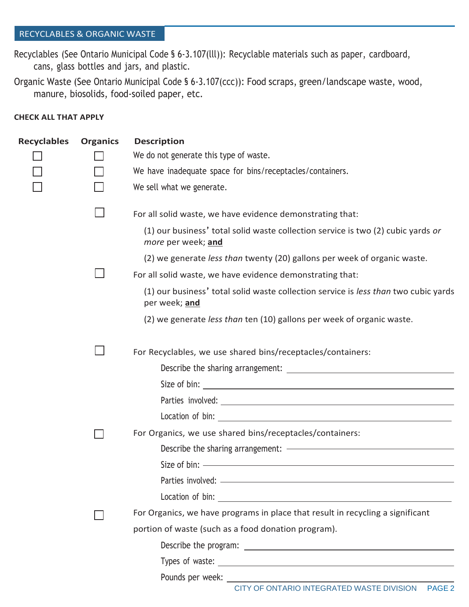# RECYCLABLES & ORGANIC WASTE

Recyclables (See Ontario Municipal Code § 6-3.107(lll)): Recyclable materials such as paper, cardboard, cans, glass bottles and jars, and plastic.

Organic Waste (See Ontario Municipal Code § 6-3.107(ccc)): Food scraps, green/landscape waste, wood, manure, biosolids, food-soiled paper, etc.

## **CHECK ALL THAT APPLY**

| <b>Recyclables</b> | <b>Organics</b> | <b>Description</b>                                                                                     |
|--------------------|-----------------|--------------------------------------------------------------------------------------------------------|
|                    |                 | We do not generate this type of waste.                                                                 |
|                    |                 | We have inadequate space for bins/receptacles/containers.                                              |
|                    |                 | We sell what we generate.                                                                              |
|                    |                 | For all solid waste, we have evidence demonstrating that:                                              |
|                    |                 | (1) our business' total solid waste collection service is two (2) cubic yards or<br>more per week; and |
|                    |                 | (2) we generate less than twenty (20) gallons per week of organic waste.                               |
|                    |                 | For all solid waste, we have evidence demonstrating that:                                              |
|                    |                 | (1) our business' total solid waste collection service is less than two cubic yards<br>per week; and   |
|                    |                 | (2) we generate less than ten (10) gallons per week of organic waste.                                  |
|                    |                 | For Recyclables, we use shared bins/receptacles/containers:                                            |
|                    |                 |                                                                                                        |
|                    |                 |                                                                                                        |
|                    |                 |                                                                                                        |
|                    |                 |                                                                                                        |
|                    |                 | For Organics, we use shared bins/receptacles/containers:                                               |
|                    |                 |                                                                                                        |
|                    |                 |                                                                                                        |
|                    |                 | Parties involved: ___________                                                                          |
|                    |                 |                                                                                                        |
|                    |                 | For Organics, we have programs in place that result in recycling a significant                         |
|                    |                 | portion of waste (such as a food donation program).                                                    |
|                    |                 |                                                                                                        |
|                    |                 |                                                                                                        |
|                    |                 |                                                                                                        |
|                    |                 | CITY OF ONTARIO INTEGRATED WASTE DIVISION PAGE 2                                                       |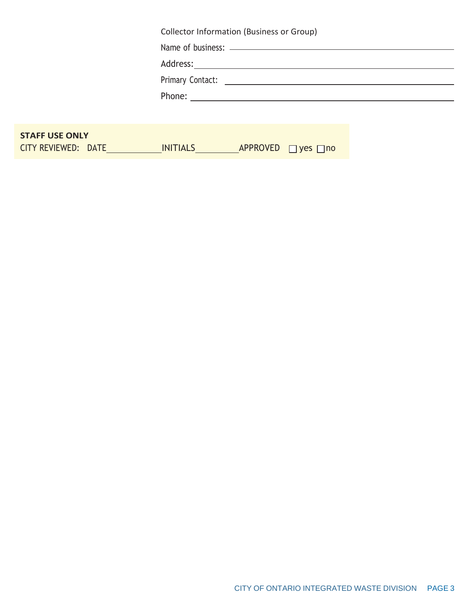|                                              | Collector Information (Business or Group)           |  |
|----------------------------------------------|-----------------------------------------------------|--|
|                                              |                                                     |  |
|                                              |                                                     |  |
|                                              |                                                     |  |
|                                              |                                                     |  |
|                                              |                                                     |  |
|                                              |                                                     |  |
| <b>STAFF USE ONLY</b><br>CITY REVIEWED: DATE | <b>INITIALS</b><br>APPROVED<br>$\Box$ yes $\Box$ no |  |
|                                              |                                                     |  |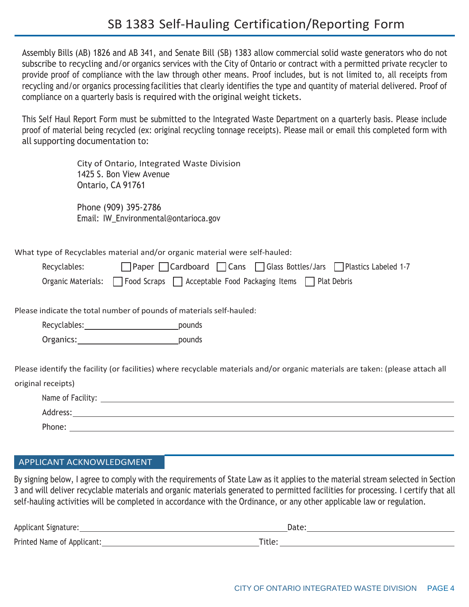Assembly Bills (AB) 1826 and AB 341, and Senate Bill (SB) 1383 allow commercial solid waste generators who do not subscribe to recycling and/or organics services with the City of Ontario or contract with a permitted private recycler to provide proof of compliance with the law through other means. Proof includes, but is not limited to, all receipts from recycling and/or organics processing facilities that clearly identifies the type and quantity of material delivered. Proof of compliance on a quarterly basis is required with the original weight tickets.

This Self Haul Report Form must be submitted to the Integrated Waste Department on a quarterly basis. Please include proof of material being recycled (ex: original recycling tonnage receipts). Please mail or email this completed form with all supporting documentation to:

> City of Ontario, Integrated Waste Division 1425 S. Bon View Avenue Ontario, CA 91761

Phone (909) 395-2786 Email: [IW\\_Envir](mailto:IW_Environmental@ontarioca.gov)[onmental@ontarioca.gov](mailto:onmental@ontarioca.gov)

What type of Recyclables material and/or organic material were self-hauled:

| Recyclables: | □Paper □Cardboard □ Cans □ Glass Bottles/Jars □ Plastics Labeled 1-7                 |
|--------------|--------------------------------------------------------------------------------------|
|              | Organic Materials:     Food Scraps     Acceptable Food Packaging Items   Plat Debris |

Please indicate the total number of pounds of materials self-hauled:

Recyclables: pounds

Organics: pounds

Please identify the facility (or facilities) where recyclable materials and/or organic materials are taken: (please attach all

original receipts)

| Name of Facility: |  |
|-------------------|--|
| Address:          |  |
| Phone:            |  |

## APPLICANT ACKNOWLEDGMENT

By signing below, I agree to comply with the requirements of State Law as it applies to the material stream selected in Section 3 and will deliver recyclable materials and organic materials generated to permitted facilities for processing. I certify that all self-hauling activities will be completed in accordance with the Ordinance, or any other applicable law or regulation.

| Applicant Signature:       | Dale   |
|----------------------------|--------|
| Printed Name of Applicant: | Title. |